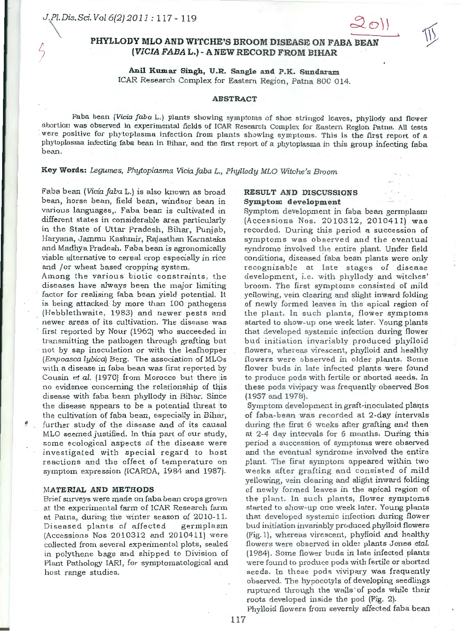# PHYLLODY MLO AND WITCHE'S BROOM DISEASE ON FABA BEAN  $[VICIA$  FABA L.) - A NEW RECORD FROM BIHAR

# Anil Kumar Singh, U.R. Sangle and P.K. Sundaram ICAR Research Complex for Eastern Region, Patna 800 014.

#### **ABSTRACT**

Faba bean ( *Vicia faba* L.) plants showing symptoms of shoe stringed leaves, phyllody and flower abortion was observed in experimental fields of ICAR Research Complex for Eastern Region Patna. All tests were positive for phytoplasma infection from plants showing symptoms. This is the first report of a phytoplasma infecting faba bean in Bihar, and the first report of a phytoplasma in this group infecting faba bean.

**Key Words:** *Legumes, Phytoplasma Viciafaba L., Phyllody MLO Witche's Broom* 

Faba bean *(Viciafaba* L.) is also known as broad bean, horse bean, field bean, windsor bean in various languages,. Faba bean is cultivated in different states in considerable area particularly in the State of Uttar Pradesh, Bihar, Punjab, Haryana, Jammu Kashmir, Rajasthan Karnataka and Madhya Pradesh. Faba bean is agronomically viable alternative to cereal crop especially in rice and /or wheat based cropping system.

Among the various biotic constraints, the diseases have always been the major limiting factor for realising faba bean yield potential. It is being attacked by more than 100 pathogens (Hebblethwaite, 1983) and newer pests and newer areas of its cultivation. The disease was first reported by Nour (1962) who succeeded in transmitting the pathogen through grafting but not by sap inoculation or with the leafhopper (Empoasca lybicdj Berg. The association of MLQs with a disease in faba bean was first reported by Cousin *et al.* (1970) from Morocco but there is no evidence concerning the relationship of this disease with faba bean phyllody in Bihar. Since the disease appears to be a potential threat to the cultivation of faba bean, especially in Bihar, further study of the disease and of its causal MLO seemed justified. In this part of our study, some ecological aspects of the disease were investigated with special regard to host reactions and the effect of temperature on symptom expression (ICARDA, 1984 and 1987).

### **MATERIAL AND METHODS**

Brief surveys were made on faba bean crops grown at the experimental farm of ICAR Research farm at Patna, during the winter season of 2010-11. Diseased plants of affected germplasm (Accessions Nos 2010312 and 2010411) were collected from several experimental plots, sealed in polythene bags and shipped to Division of Plant Pathology IARI, for symptomatological and host range studies.

## **RESULT AND DISCUSSIONS**  Symptom development

Symptom development in faba bean germplasm (Accessions Nos. 20103 12, 2010411) was recorded. During this period a succession of symptoms was observed and the eventual syndrome involved the entire plant. Under field conditions, diseased faba bean plants were only recognizable at late stages of disease development, i.e. with phyllody and witches' broom. The first symptoms consisted of mild yellowing, vein clearing and slight inward folding of newly formed leaves in the apical region of the plant. In such plants, flower symptoms started to show-up one week later. Young plants that developed systemic infection during flower bud initiation invariably produced phylloid flowers, whereas virescent, phylloid and healthy flowers were observed in older plants. Some flower buds in late infected plants were found to produce pods with fertile or aborted seeds. In these pods vivipary was frequently observed Bos (1957 and 1978).

Symptom development in graft-inoculated plants of faba-bean was recorded at 2-day intervals during the first 6 weeks after grafting and then at 2-4 day intervals for 6 months. During this period a succession of symptoms were observed and the eventual syndrome involved the entire plant. The first symptom appeared within two weeks after grafting and consisted of mild yellowing, vein clearing and slight inward folding of newly formed leaves in the apical region of the plant. In such plants, flower symptoms started to show-up one week later. Young plants that developed systemic infection during flower bud initiation invariably produced phylloid flowers (Fig. 1), whereas virescent, phylloid and healthy flowers were observed in older plants Jones *etal.* (1984). Some flower buds in late infected plants were found to produce pods with fertile or aborted seeds. In these pods vivipary was frequently observed. The hypocotyls of developing seedlings ruptured through the walls' of pods while their roots developed inside the pod (Fig. 2).

Phylloid flowers from severely affected faba bean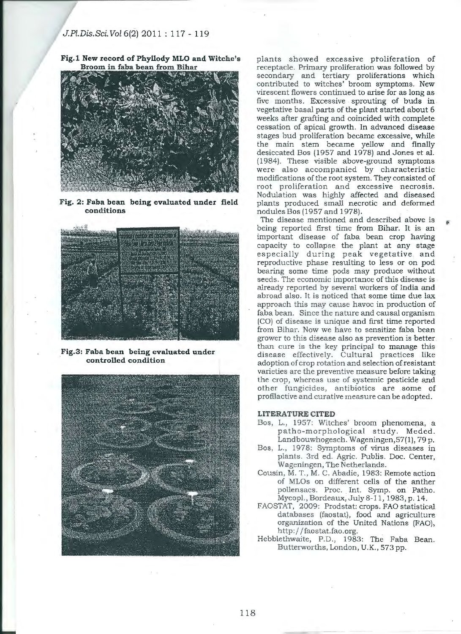**Fig.1 New record of Phyllody MLO and Witche's Broom in faba bean from Bihar** 



**Fig. 2: Faba bean being evaluated under field conditions** 



**Fig.3: Faba bean being evaluated under controlled condition** 



plants showed excessive ptoliferation of receptacle. Primary proliferation was followed by secondary and tertiary proliferations which contributed to witches' broom symptoms. New virescent flowers continued to arise for as long as five months. Excessive . sprouting of buds in vegetative basal parts of the plant started about 6 weeks after grafting and coincided with complete cessation of apical growth. In advanced disease stages bud proliferation became excessive, while the main stem became yellow and finally desiccated Bos (1957 and 1978) and Jones et al. (1984). These visible above-ground symptoms were also accompanied by characteristic modifications of the root system. They consisted of root proliferation and excessive necrosis. Nodulation was highly affected and diseased plants produced small necrotic and deformed nodules Bos (1957and1978).

The disease mentioned and described above is being reported first time from Bihar. It is an important disease of faba bean crop having capacity to collapse the plant at any stage especially during peak vegetative and reproductive phase resulting to less or on pod bearing some time pods may produce without seeds. The economic importance of this disease is already reported by several workers of India and abroad also. It is noticed that some time due lax approach this may cause havoc in production of faba bean. Since the nature and causal organism (CO) of disease is unique and first time reported from Bihar. Now we have to sensitize faba bean grower to this disease also as prevention is better. than cure is the key principal to manage this disease effectively. Cultural practices like adoption of crop rotation and selection of resistant varieties are the preventive measure before taking the crop, whereas use of systemic pesticide and other fungicides, antibiotics are some of profilactive and curative measure can be adopted.

## **LITERATURE CITED**

- Bos, L., 1957: Witches' broom phenomena, a patho-morphological study. Meded. Landbouwhogesch. Wageningen,57(1), 79 p.
- Bos, L., 1978: Symptoms of virus diseases in plants. 3rd· ed. Agric. Publis. Doc. Center, Wageningen, The Netherlahds.
- Cousin, M. T., M. C. Abadie, 1983: Remote action of MLOs on different cells of the anther pollensacs. Proc. Int. Symp. on Patho. Mycopl.,Bordeaux,July8-ll, 1983,p.14.
- FAOSTAT, 2009: Prodstat: crops. FAO statistical databases (faostat), food and agriculture organization of the United Nations (FAO), http:/ /faostat.fao.org.
- Hebblethwaite, P.D., 1983: The Faba Bean. Butterworths, London, U.K., 573 pp.